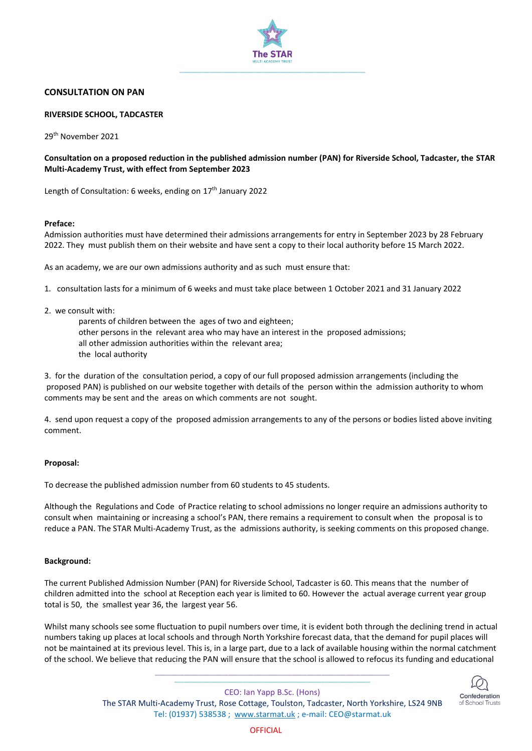

# **CONSULTATION ON PAN**

#### **RIVERSIDE SCHOOL, TADCASTER**

29th November 2021

# **Consultation on a proposed reduction in the published admission number (PAN) for Riverside School, Tadcaster, the STAR Multi-Academy Trust, with effect from September 2023**

Length of Consultation: 6 weeks, ending on 17<sup>th</sup> January 2022

#### **Preface:**

Admission authorities must have determined their admissions arrangements for entry in September 2023 by 28 February 2022. They must publish them on their website and have sent a copy to their local authority before 15 March 2022.

As an academy, we are our own admissions authority and as such must ensure that:

- 1. consultation lasts for a minimum of 6 weeks and must take place between 1 October 2021 and 31 January 2022
- 2. we consult with:
	- parents of children between the ages of two and eighteen; other persons in the relevant area who may have an interest in the proposed admissions; all other admission authorities within the relevant area; the local authority

3. for the duration of the consultation period, a copy of our full proposed admission arrangements (including the proposed PAN) is published on our website together with details of the person within the admission authority to whom comments may be sent and the areas on which comments are not sought.

4. send upon request a copy of the proposed admission arrangements to any of the persons or bodies listed above inviting comment.

# **Proposal:**

To decrease the published admission number from 60 students to 45 students.

Although the Regulations and Code of Practice relating to school admissions no longer require an admissions authority to consult when maintaining or increasing a school's PAN, there remains a requirement to consult when the proposal is to reduce a PAN. The STAR Multi-Academy Trust, as the admissions authority, is seeking comments on this proposed change.

# **Background:**

The current Published Admission Number (PAN) for Riverside School, Tadcaster is 60. This means that the number of children admitted into the school at Reception each year is limited to 60. However the actual average current year group total is 50, the smallest year 36, the largest year 56.

Whilst many schools see some fluctuation to pupil numbers over time, it is evident both through the declining trend in actual numbers taking up places at local schools and through North Yorkshire forecast data, that the demand for pupil places will not be maintained at its previous level. This is, in a large part, due to a lack of available housing within the normal catchment of the school. We believe that reducing the PAN will ensure that the school is allowed to refocus its funding and educational

> **\_\_\_\_\_\_\_\_\_\_\_\_\_\_\_\_\_\_\_\_\_\_\_\_\_\_\_\_\_\_\_\_\_\_\_\_\_\_\_\_\_\_\_\_\_\_\_\_ \_\_\_\_\_\_\_\_\_\_\_\_\_\_\_\_\_\_\_\_\_\_\_\_\_\_\_\_\_\_\_\_\_\_\_\_\_\_\_\_**



CEO: Ian Yapp B.Sc. (Hons) The STAR Multi-Academy Trust, Rose Cottage, Toulston, Tadcaster, North Yorkshire, LS24 9NB Tel: (01937) 538538 ; [www.starmat.uk](http://www.starmat.uk/) ; e-mail: [CEO@starmat.uk](mailto:CEO@starmat.uk)

**OFFICIAL**